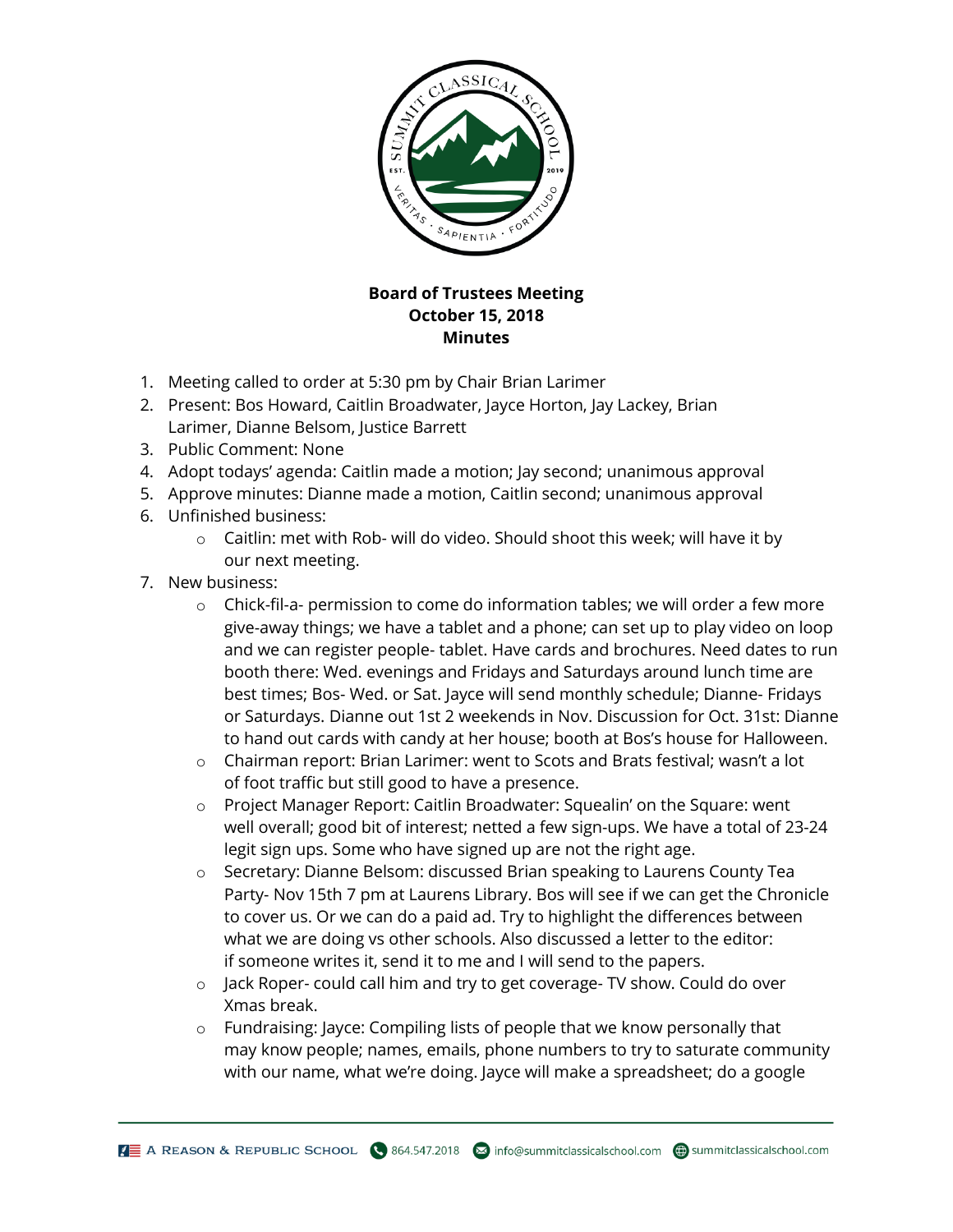

## **Board of Trustees Meeting October 15, 2018 Minutes**

- 1. Meeting called to order at 5:30 pm by Chair Brian Larimer
- 2. Present: Bos Howard, Caitlin Broadwater, Jayce Horton, Jay Lackey, Brian Larimer, Dianne Belsom, Justice Barrett
- 3. Public Comment: None
- 4. Adopt todays' agenda: Caitlin made a motion; Jay second; unanimous approval
- 5. Approve minutes: Dianne made a motion, Caitlin second; unanimous approval
- 6. Unfinished business:
	- o Caitlin: met with Rob- will do video. Should shoot this week; will have it by our next meeting.
- 7. New business:
	- $\circ$  Chick-fil-a- permission to come do information tables; we will order a few more give-away things; we have a tablet and a phone; can set up to play video on loop and we can register people- tablet. Have cards and brochures. Need dates to run booth there: Wed. evenings and Fridays and Saturdays around lunch time are best times; Bos- Wed. or Sat. Jayce will send monthly schedule; Dianne- Fridays or Saturdays. Dianne out 1st 2 weekends in Nov. Discussion for Oct. 31st: Dianne to hand out cards with candy at her house; booth at Bos's house for Halloween.
	- o Chairman report: Brian Larimer: went to Scots and Brats festival; wasn't a lot of foot traffic but still good to have a presence.
	- o Project Manager Report: Caitlin Broadwater: Squealin' on the Square: went well overall; good bit of interest; netted a few sign-ups. We have a total of 23-24 legit sign ups. Some who have signed up are not the right age.
	- o Secretary: Dianne Belsom: discussed Brian speaking to Laurens County Tea Party- Nov 15th 7 pm at Laurens Library. Bos will see if we can get the Chronicle to cover us. Or we can do a paid ad. Try to highlight the differences between what we are doing vs other schools. Also discussed a letter to the editor: if someone writes it, send it to me and I will send to the papers.
	- o Jack Roper- could call him and try to get coverage- TV show. Could do over Xmas break.
	- $\circ$  Fundraising: Jayce: Compiling lists of people that we know personally that may know people; names, emails, phone numbers to try to saturate community with our name, what we're doing. Jayce will make a spreadsheet; do a google